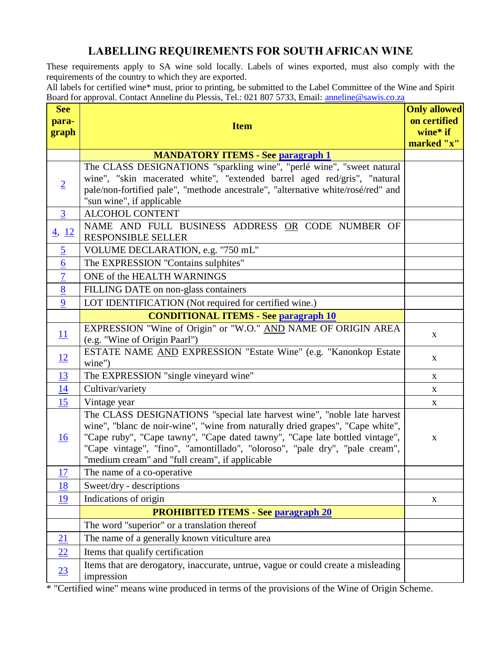# **LABELLING REQUIREMENTS FOR SOUTH AFRICAN WINE**

These requirements apply to SA wine sold locally. Labels of wines exported, must also comply with the requirements of the country to which they are exported.

All labels for certified wine\* must, prior to printing, be submitted to the Label Committee of the Wine and Spirit Board for approval. Contact Anneline du Plessis, Tel.: 021 807 5733, Email: [anneline@sawis.co.za](mailto:anneline@sawis.co.za)

<span id="page-0-1"></span>

| <b>See</b><br>para- |                                                                                                                                                                                                                                                                                                                                                                           | <b>Only allowed</b><br>on certified |
|---------------------|---------------------------------------------------------------------------------------------------------------------------------------------------------------------------------------------------------------------------------------------------------------------------------------------------------------------------------------------------------------------------|-------------------------------------|
| graph               | <b>Item</b>                                                                                                                                                                                                                                                                                                                                                               | wine* if                            |
|                     |                                                                                                                                                                                                                                                                                                                                                                           | marked "x"                          |
|                     | <b>MANDATORY ITEMS - See paragraph 1</b>                                                                                                                                                                                                                                                                                                                                  |                                     |
|                     | The CLASS DESIGNATIONS "sparkling wine", "perlé wine", "sweet natural                                                                                                                                                                                                                                                                                                     |                                     |
| $\overline{2}$      | wine", "skin macerated white", "extended barrel aged red/gris", "natural<br>pale/non-fortified pale", "methode ancestrale", "alternative white/rosé/red" and                                                                                                                                                                                                              |                                     |
|                     | "sun wine", if applicable                                                                                                                                                                                                                                                                                                                                                 |                                     |
| $\overline{3}$      | <b>ALCOHOL CONTENT</b>                                                                                                                                                                                                                                                                                                                                                    |                                     |
| $\frac{4}{12}$      | NAME AND FULL BUSINESS ADDRESS OR CODE NUMBER OF<br><b>RESPONSIBLE SELLER</b>                                                                                                                                                                                                                                                                                             |                                     |
| $\overline{2}$      | VOLUME DECLARATION, e.g. "750 mL"                                                                                                                                                                                                                                                                                                                                         |                                     |
| 6                   | The EXPRESSION "Contains sulphites"                                                                                                                                                                                                                                                                                                                                       |                                     |
| $\overline{7}$      | ONE of the HEALTH WARNINGS                                                                                                                                                                                                                                                                                                                                                |                                     |
| 8                   | FILLING DATE on non-glass containers                                                                                                                                                                                                                                                                                                                                      |                                     |
| 9                   | LOT IDENTIFICATION (Not required for certified wine.)                                                                                                                                                                                                                                                                                                                     |                                     |
|                     | <b>CONDITIONAL ITEMS - See paragraph 10</b>                                                                                                                                                                                                                                                                                                                               |                                     |
| <u>11</u>           | EXPRESSION "Wine of Origin" or "W.O." AND NAME OF ORIGIN AREA                                                                                                                                                                                                                                                                                                             | $\mathbf X$                         |
|                     | (e.g. "Wine of Origin Paarl")<br>ESTATE NAME AND EXPRESSION "Estate Wine" (e.g. "Kanonkop Estate                                                                                                                                                                                                                                                                          |                                     |
| 12                  | wine")                                                                                                                                                                                                                                                                                                                                                                    | $\mathbf{X}$                        |
| 13                  | The EXPRESSION "single vineyard wine"                                                                                                                                                                                                                                                                                                                                     | $\mathbf{X}$                        |
| <u>14</u>           | Cultivar/variety                                                                                                                                                                                                                                                                                                                                                          | X                                   |
| 15                  | Vintage year                                                                                                                                                                                                                                                                                                                                                              | $\mathbf X$                         |
| <b>16</b>           | The CLASS DESIGNATIONS "special late harvest wine", "noble late harvest<br>wine", "blanc de noir-wine", "wine from naturally dried grapes", "Cape white",<br>"Cape ruby", "Cape tawny", "Cape dated tawny", "Cape late bottled vintage",<br>"Cape vintage", "fino", "amontillado", "oloroso", "pale dry", "pale cream",<br>"medium cream" and "full cream", if applicable | $\mathbf X$                         |
| 17                  | The name of a co-operative                                                                                                                                                                                                                                                                                                                                                |                                     |
| <u>18</u>           | Sweet/dry - descriptions                                                                                                                                                                                                                                                                                                                                                  |                                     |
| 19                  | Indications of origin                                                                                                                                                                                                                                                                                                                                                     | X                                   |
|                     | <b>PROHIBITED ITEMS - See paragraph 20</b>                                                                                                                                                                                                                                                                                                                                |                                     |
|                     | The word "superior" or a translation thereof                                                                                                                                                                                                                                                                                                                              |                                     |
| 21                  | The name of a generally known viticulture area                                                                                                                                                                                                                                                                                                                            |                                     |
| 22                  | Items that qualify certification                                                                                                                                                                                                                                                                                                                                          |                                     |
| 23                  | Items that are derogatory, inaccurate, untrue, vague or could create a misleading<br>impression                                                                                                                                                                                                                                                                           |                                     |

<span id="page-0-0"></span>\* "Certified wine" means wine produced in terms of the provisions of the Wine of Origin Scheme.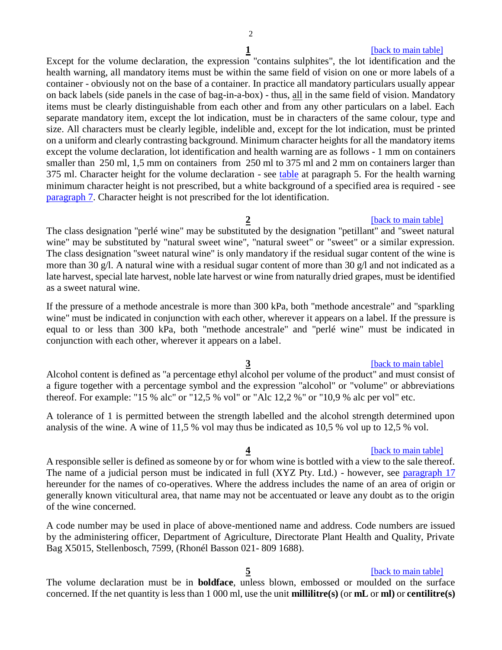## **1 1 back** to main table

*<u>[\[back to main table\]](#page-0-1)</u>* 

Except for the volume declaration, the expression "contains sulphites", the lot identification and the health warning, all mandatory items must be within the same field of vision on one or more labels of a container - obviously not on the base of a container. In practice all mandatory particulars usually appear on back labels (side panels in the case of bag-in-a-box) - thus, all in the same field of vision. Mandatory items must be clearly distinguishable from each other and from any other particulars on a label. Each separate mandatory item, except the lot indication, must be in characters of the same colour, type and size. All characters must be clearly legible, indelible and, except for the lot indication, must be printed on a uniform and clearly contrasting background. Minimum character heights for all the mandatory items except the volume declaration, lot identification and health warning are as follows - 1 mm on containers smaller than 250 ml, 1,5 mm on containers from 250 ml to 375 ml and 2 mm on containers larger than 375 ml. Character height for the volume declaration - see [table](#page-2-4) at paragraph 5. For the health warning minimum character height is not prescribed, but a white background of a specified area is required - see [paragraph 7.](#page-2-1) Character height is not prescribed for the lot identification.

# <span id="page-1-0"></span>The class designation "perlé wine" may be substituted by the designation "petillant" and "sweet natural wine" may be substituted by "natural sweet wine", "natural sweet" or "sweet" or a similar expression. The class designation "sweet natural wine" is only mandatory if the residual sugar content of the wine is more than 30 g/l. A natural wine with a residual sugar content of more than 30 g/l and not indicated as a late harvest, special late harvest, noble late harvest or wine from naturally dried grapes, must be identified as a sweet natural wine.

If the pressure of a methode ancestrale is more than 300 kPa, both "methode ancestrale" and "sparkling wine" must be indicated in conjunction with each other, wherever it appears on a label. If the pressure is equal to or less than 300 kPa, both "methode ancestrale" and "perlé wine" must be indicated in conjunction with each other, wherever it appears on a label.

# <span id="page-1-1"></span>Alcohol content is defined as "a percentage ethyl alcohol per volume of the product" and must consist of a figure together with a percentage symbol and the expression "alcohol" or "volume" or abbreviations thereof. For example: "15 % alc" or "12,5 % vol" or "Alc 12,2 %" or "10,9 % alc per vol" etc.

A tolerance of 1 is permitted between the strength labelled and the alcohol strength determined upon analysis of the wine. A wine of 11,5 % vol may thus be indicated as 10,5 % vol up to 12,5 % vol.

<span id="page-1-2"></span>**4 back** to main table] A responsible seller is defined as someone by or for whom wine is bottled with a view to the sale thereof. The name of a judicial person must be indicated in full (XYZ Pty. Ltd.) - however, see [paragraph 17](#page-4-3) hereunder for the names of co-operatives. Where the address includes the name of an area of origin or generally known viticultural area, that name may not be accentuated or leave any doubt as to the origin of the wine concerned.

A code number may be used in place of above-mentioned name and address. Code numbers are issued by the administering officer, Department of Agriculture, Directorate Plant Health and Quality, Private Bag X5015, Stellenbosch, 7599, (Rhonél Basson 021- 809 1688).

# **5 back to main table**

<span id="page-1-3"></span>The volume declaration must be in **boldface**, unless blown, embossed or moulded on the surface concerned. If the net quantity is less than 1 000 ml, use the unit **millilitre(s)** (or **mL** or **ml)** or **centilitre(s)**

### **3** [\[back to main table\]](#page-0-1)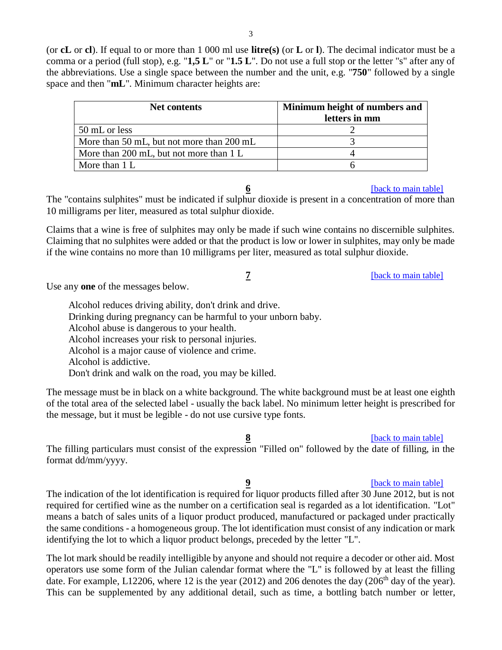(or **cL** or **cl**). If equal to or more than 1 000 ml use **litre(s)** (or **L** or **l**). The decimal indicator must be a comma or a period (full stop), e.g. "**1,5 L**" or "**1.5 L**". Do not use a full stop or the letter "s" after any of the abbreviations. Use a single space between the number and the unit, e.g. "**750**" followed by a single space and then "**mL**". Minimum character heights are:

<span id="page-2-4"></span>

| Net contents                              | Minimum height of numbers and<br>letters in mm |
|-------------------------------------------|------------------------------------------------|
| 50 mL or less                             |                                                |
| More than 50 mL, but not more than 200 mL |                                                |
| More than 200 mL, but not more than 1 L   |                                                |
| More than 1 L                             |                                                |

## **6 back** to main table]

<span id="page-2-0"></span>The "contains sulphites" must be indicated if sulphur dioxide is present in a concentration of more than 10 milligrams per liter, measured as total sulphur dioxide.

Claims that a wine is free of sulphites may only be made if such wine contains no discernible sulphites. Claiming that no sulphites were added or that the product is low or lower in sulphites, may only be made if the wine contains no more than 10 milligrams per liter, measured as total sulphur dioxide.

**7** *back to main table* 

<span id="page-2-1"></span>Use any **one** of the messages below.

Alcohol reduces driving ability, don't drink and drive. Drinking during pregnancy can be harmful to your unborn baby. Alcohol abuse is dangerous to your health. Alcohol increases your risk to personal injuries. Alcohol is a major cause of violence and crime. Alcohol is addictive. Don't drink and walk on the road, you may be killed.

The message must be in black on a white background. The white background must be at least one eighth of the total area of the selected label - usually the back label. No minimum letter height is prescribed for the message, but it must be legible - do not use cursive type fonts.

### [\[back to main table\]](#page-0-1)

<span id="page-2-2"></span>The filling particulars must consist of the expression "Filled on" followed by the date of filling, in the format dd/mm/yyyy.

# **9 back** to main table

<span id="page-2-3"></span>The indication of the lot identification is required for liquor products filled after 30 June 2012, but is not required for certified wine as the number on a certification seal is regarded as a lot identification. "Lot" means a batch of sales units of a liquor product produced, manufactured or packaged under practically the same conditions - a homogeneous group. The lot identification must consist of any indication or mark identifying the lot to which a liquor product belongs, preceded by the letter "L".

The lot mark should be readily intelligible by anyone and should not require a decoder or other aid. Most operators use some form of the Julian calendar format where the "L" is followed by at least the filling date. For example, L12206, where 12 is the year (2012) and 206 denotes the day (206<sup>th</sup> day of the year). This can be supplemented by any additional detail, such as time, a bottling batch number or letter,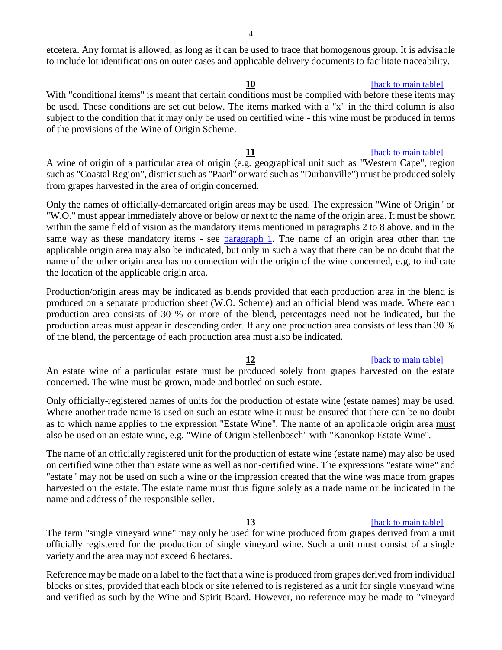<span id="page-3-1"></span>etcetera. Any format is allowed, as long as it can be used to trace that homogenous group. It is advisable to include lot identifications on outer cases and applicable delivery documents to facilitate traceability.

With "conditional items" is meant that certain conditions must be complied with before these items may be used. These conditions are set out below. The items marked with a "x" in the third column is also subject to the condition that it may only be used on certified wine - this wine must be produced in terms of the provisions of the Wine of Origin Scheme.

<span id="page-3-2"></span>**11 c** [\[back to main table\]](#page-0-1) A wine of origin of a particular area of origin (e.g. geographical unit such as "Western Cape", region such as "Coastal Region", district such as "Paarl" or ward such as "Durbanville") must be produced solely from grapes harvested in the area of origin concerned.

Only the names of officially-demarcated origin areas may be used. The expression "Wine of Origin" or "W.O." must appear immediately above or below or next to the name of the origin area. It must be shown within the same field of vision as the mandatory items mentioned in paragraphs 2 to 8 above, and in the same way as these mandatory items - see [paragraph 1.](#page-0-0) The name of an origin area other than the applicable origin area may also be indicated, but only in such a way that there can be no doubt that the name of the other origin area has no connection with the origin of the wine concerned, e.g, to indicate the location of the applicable origin area.

Production/origin areas may be indicated as blends provided that each production area in the blend is produced on a separate production sheet (W.O. Scheme) and an official blend was made. Where each production area consists of 30 % or more of the blend, percentages need not be indicated, but the production areas must appear in descending order. If any one production area consists of less than 30 % of the blend, the percentage of each production area must also be indicated.

### **12 I** [\[back to main table\]](#page-0-1)

<span id="page-3-0"></span>An estate wine of a particular estate must be produced solely from grapes harvested on the estate concerned. The wine must be grown, made and bottled on such estate.

Only officially-registered names of units for the production of estate wine (estate names) may be used. Where another trade name is used on such an estate wine it must be ensured that there can be no doubt as to which name applies to the expression "Estate Wine". The name of an applicable origin area must also be used on an estate wine, e.g. "Wine of Origin Stellenbosch" with "Kanonkop Estate Wine".

The name of an officially registered unit for the production of estate wine (estate name) may also be used on certified wine other than estate wine as well as non-certified wine. The expressions "estate wine" and "estate" may not be used on such a wine or the impression created that the wine was made from grapes harvested on the estate. The estate name must thus figure solely as a trade name or be indicated in the name and address of the responsible seller.

### **13 back** to main table]

<span id="page-3-3"></span>The term "single vineyard wine" may only be used for wine produced from grapes derived from a unit officially registered for the production of single vineyard wine. Such a unit must consist of a single variety and the area may not exceed 6 hectares.

Reference may be made on a label to the fact that a wine is produced from grapes derived from individual blocks or sites, provided that each block or site referred to is registered as a unit for single vineyard wine and verified as such by the Wine and Spirit Board. However, no reference may be made to "vineyard

### **10 lack to main table**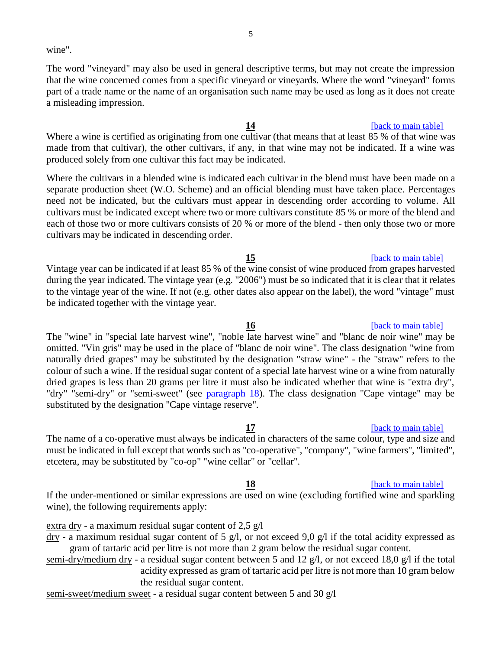5

wine".

The word "vineyard" may also be used in general descriptive terms, but may not create the impression that the wine concerned comes from a specific vineyard or vineyards. Where the word "vineyard" forms part of a trade name or the name of an organisation such name may be used as long as it does not create a misleading impression.

<span id="page-4-0"></span>Where a wine is certified as originating from one cultivar (that means that at least 85 % of that wine was made from that cultivar), the other cultivars, if any, in that wine may not be indicated. If a wine was produced solely from one cultivar this fact may be indicated.

Where the cultivars in a blended wine is indicated each cultivar in the blend must have been made on a separate production sheet (W.O. Scheme) and an official blending must have taken place. Percentages need not be indicated, but the cultivars must appear in descending order according to volume. All cultivars must be indicated except where two or more cultivars constitute 85 % or more of the blend and each of those two or more cultivars consists of 20 % or more of the blend - then only those two or more cultivars may be indicated in descending order.

<span id="page-4-1"></span>Vintage year can be indicated if at least 85 % of the wine consist of wine produced from grapes harvested during the year indicated. The vintage year (e.g. "2006") must be so indicated that it is clear that it relates to the vintage year of the wine. If not (e.g. other dates also appear on the label), the word "vintage" must be indicated together with the vintage year.

<span id="page-4-2"></span>**16 16 back** to main table The "wine" in "special late harvest wine", "noble late harvest wine" and "blanc de noir wine" may be omitted. "Vin gris" may be used in the place of "blanc de noir wine". The class designation "wine from naturally dried grapes" may be substituted by the designation "straw wine" - the "straw" refers to the colour of such a wine. If the residual sugar content of a special late harvest wine or a wine from naturally dried grapes is less than 20 grams per litre it must also be indicated whether that wine is "extra dry", "dry" "semi-dry" or "semi-sweet" (see [paragraph 18\)](#page-4-4). The class designation "Cape vintage" may be substituted by the designation "Cape vintage reserve".

<span id="page-4-3"></span>The name of a co-operative must always be indicated in characters of the same colour, type and size and must be indicated in full except that words such as "co-operative", "company", "wine farmers", "limited", etcetera, may be substituted by "co-op" "wine cellar" or "cellar".

<span id="page-4-4"></span>If the under-mentioned or similar expressions are used on wine (excluding fortified wine and sparkling wine), the following requirements apply:

extra dry - a maximum residual sugar content of 2,5 g/l

- $\frac{dry}{}$  a maximum residual sugar content of 5 g/l, or not exceed 9,0 g/l if the total acidity expressed as gram of tartaric acid per litre is not more than 2 gram below the residual sugar content.
- semi-dry/medium dry a residual sugar content between 5 and 12 g/l, or not exceed 18,0 g/l if the total acidity expressed as gram of tartaric acid per litre is not more than 10 gram below the residual sugar content.

semi-sweet/medium sweet - a residual sugar content between 5 and 30 g/l

# **14 IDAL** [\[back to main table\]](#page-0-1)

# **15 15 back to main table**

# [\[back to main table\]](#page-0-1)

### **18 18 back** [to main table\]](#page-0-1)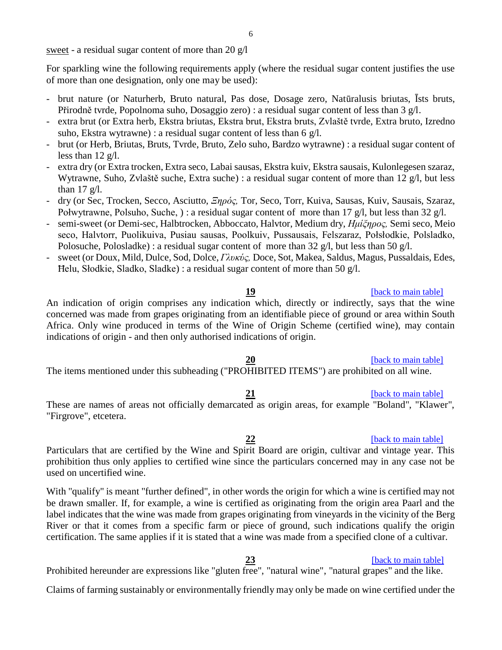sweet - a residual sugar content of more than 20 g/l

For sparkling wine the following requirements apply (where the residual sugar content justifies the use of more than one designation, only one may be used):

- brut nature (or Naturherb, Bruto natural, Pas dose, Dosage zero, Natūralusis briutas, Īsts bruts, Přirodně tvrde, Popolnoma suho, Dosaggio zero) : a residual sugar content of less than 3 g/l.
- extra brut (or Extra herb, Ekstra briutas, Ekstra brut, Ekstra bruts, Zvlaště tvrde, Extra bruto, Izredno suho, Ekstra wytrawne) : a residual sugar content of less than 6 g/l.
- brut (or Herb, Briutas, Bruts, Tvrde, Bruto, Zelo suho, Bardzo wytrawne) : a residual sugar content of less than 12 g/l.
- extra dry (or Extra trocken, Extra seco, Labai sausas, Ekstra kuiv, Ekstra sausais, Kulonlegesen szaraz, Wytrawne, Suho, Zvlaště suche, Extra suche) : a residual sugar content of more than 12 g/l, but less than  $17 \text{ g/l}$ .
- dry (or Sec, Trocken, Secco, Asciutto, *Ξηρός,* Tor, Seco, Torr, Kuiva, Sausas, Kuiv, Sausais, Szaraz, Połwytrawne, Polsuho, Suche, ) : a residual sugar content of more than 17 g/l, but less than 32 g/l.
- semi-sweet (or Demi-sec, Halbtrocken, Abboccato, Halvtor, Medium dry, *Ημίξηρος,* Semi seco, Meio seco, Halvtorr, Puolikuiva, Pusiau sausas, Poolkuiv, Pussausais, Felszaraz, Połsłodkie, Polsladko, Polosuche, Polosladke) : a residual sugar content of more than 32 g/l, but less than 50 g/l.
- sweet (or Doux, Mild, Dulce, Sod, Dolce, *Γλυκύς,* Doce, Sot, Makea, Saldus, Magus, Pussaldais, Edes, Ħelu, Słodkie, Sladko, Sladke) : a residual sugar content of more than 50 g/l.

<span id="page-5-0"></span>An indication of origin comprises any indication which, directly or indirectly, says that the wine concerned was made from grapes originating from an identifiable piece of ground or area within South Africa. Only wine produced in terms of the Wine of Origin Scheme (certified wine), may contain indications of origin - and then only authorised indications of origin.

## **20** *Dependent of the back to main table*

<span id="page-5-1"></span>The items mentioned under this subheading ("PROHIBITED ITEMS") are prohibited on all wine.

# **21 back** to main table]

<span id="page-5-2"></span>These are names of areas not officially demarcated as origin areas, for example "Boland", "Klawer", "Firgrove", etcetera.

<span id="page-5-3"></span>Particulars that are certified by the Wine and Spirit Board are origin, cultivar and vintage year. This prohibition thus only applies to certified wine since the particulars concerned may in any case not be used on uncertified wine.

With "qualify" is meant "further defined", in other words the origin for which a wine is certified may not be drawn smaller. If, for example, a wine is certified as originating from the origin area Paarl and the label indicates that the wine was made from grapes originating from vineyards in the vicinity of the Berg River or that it comes from a specific farm or piece of ground, such indications qualify the origin certification. The same applies if it is stated that a wine was made from a specified clone of a cultivar.

Prohibited hereunder are expressions like "gluten free", "natural wine", "natural grapes" and the like.

Claims of farming sustainably or environmentally friendly may only be made on wine certified under the

### **19 back** to main table

# **22** *back to main table*

### <span id="page-5-4"></span>**23** *back to main table*